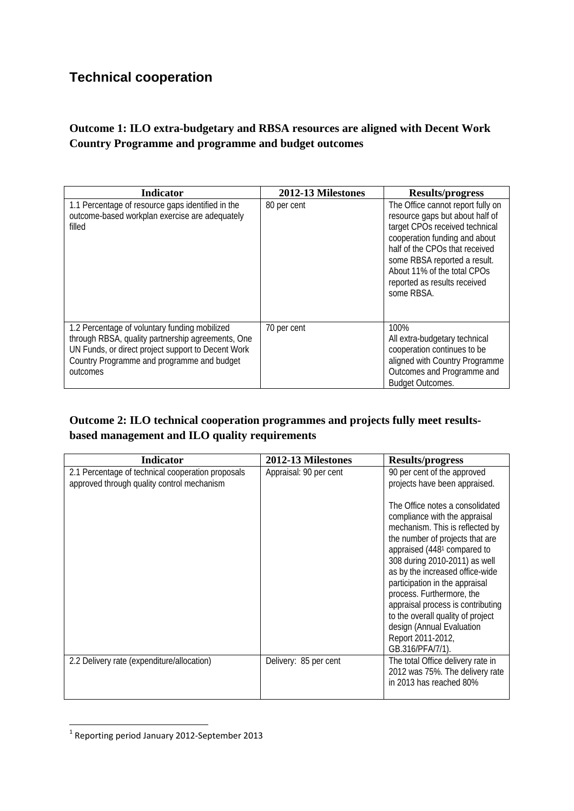## **Technical cooperation**

## **Outcome 1: ILO extra-budgetary and RBSA resources are aligned with Decent Work Country Programme and programme and budget outcomes**

| <b>Indicator</b>                                                                                                                                                                                                   | 2012-13 Milestones | <b>Results/progress</b>                                                                                                                                                                                                                                                                |
|--------------------------------------------------------------------------------------------------------------------------------------------------------------------------------------------------------------------|--------------------|----------------------------------------------------------------------------------------------------------------------------------------------------------------------------------------------------------------------------------------------------------------------------------------|
| 1.1 Percentage of resource gaps identified in the<br>outcome-based workplan exercise are adequately<br>filled                                                                                                      | 80 per cent        | The Office cannot report fully on<br>resource gaps but about half of<br>target CPOs received technical<br>cooperation funding and about<br>half of the CPOs that received<br>some RBSA reported a result.<br>About 11% of the total CPOs<br>reported as results received<br>some RBSA. |
| 1.2 Percentage of voluntary funding mobilized<br>through RBSA, quality partnership agreements, One<br>UN Funds, or direct project support to Decent Work<br>Country Programme and programme and budget<br>outcomes | 70 per cent        | 100%<br>All extra-budgetary technical<br>cooperation continues to be<br>aligned with Country Programme<br>Outcomes and Programme and<br><b>Budget Outcomes.</b>                                                                                                                        |

## **Outcome 2: ILO technical cooperation programmes and projects fully meet resultsbased management and ILO quality requirements**

| <b>Indicator</b>                                                                                | 2012-13 Milestones     | <b>Results/progress</b>                                                                                                                                                                                                                                                                                                                                                                                                                                                                                          |
|-------------------------------------------------------------------------------------------------|------------------------|------------------------------------------------------------------------------------------------------------------------------------------------------------------------------------------------------------------------------------------------------------------------------------------------------------------------------------------------------------------------------------------------------------------------------------------------------------------------------------------------------------------|
| 2.1 Percentage of technical cooperation proposals<br>approved through quality control mechanism | Appraisal: 90 per cent | 90 per cent of the approved<br>projects have been appraised.<br>The Office notes a consolidated<br>compliance with the appraisal<br>mechanism. This is reflected by<br>the number of projects that are<br>appraised (448 <sup>1</sup> compared to<br>308 during 2010-2011) as well<br>as by the increased office-wide<br>participation in the appraisal<br>process. Furthermore, the<br>appraisal process is contributing<br>to the overall quality of project<br>design (Annual Evaluation<br>Report 2011-2012, |
| 2.2 Delivery rate (expenditure/allocation)                                                      | Delivery: 85 per cent  | GB.316/PFA/7/1).<br>The total Office delivery rate in<br>2012 was 75%. The delivery rate<br>in 2013 has reached 80%                                                                                                                                                                                                                                                                                                                                                                                              |

 $<sup>1</sup>$  Reporting period January 2012-September 2013</sup>